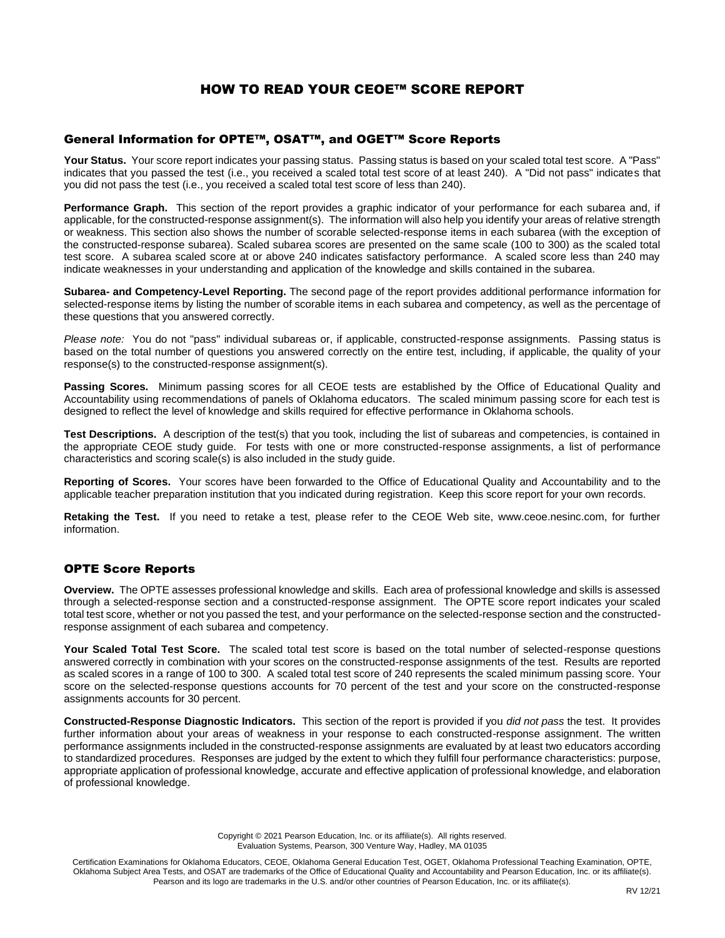# HOW TO READ YOUR CEOE™ SCORE REPORT

#### General Information for OPTE™, OSAT™, and OGET™ Score Reports

Your Status. Your score report indicates your passing status. Passing status is based on your scaled total test score. A "Pass" indicates that you passed the test (i.e., you received a scaled total test score of at least 240). A "Did not pass" indicates that you did not pass the test (i.e., you received a scaled total test score of less than 240).

**Performance Graph.** This section of the report provides a graphic indicator of your performance for each subarea and, if applicable, for the constructed-response assignment(s). The information will also help you identify your areas of relative strength or weakness. This section also shows the number of scorable selected-response items in each subarea (with the exception of the constructed-response subarea). Scaled subarea scores are presented on the same scale (100 to 300) as the scaled total test score. A subarea scaled score at or above 240 indicates satisfactory performance. A scaled score less than 240 may indicate weaknesses in your understanding and application of the knowledge and skills contained in the subarea.

**Subarea- and Competency-Level Reporting.** The second page of the report provides additional performance information for selected-response items by listing the number of scorable items in each subarea and competency, as well as the percentage of these questions that you answered correctly.

*Please note:* You do not "pass" individual subareas or, if applicable, constructed-response assignments. Passing status is based on the total number of questions you answered correctly on the entire test, including, if applicable, the quality of your response(s) to the constructed-response assignment(s).

**Passing Scores.** Minimum passing scores for all CEOE tests are established by the Office of Educational Quality and Accountability using recommendations of panels of Oklahoma educators. The scaled minimum passing score for each test is designed to reflect the level of knowledge and skills required for effective performance in Oklahoma schools.

**Test Descriptions.** A description of the test(s) that you took, including the list of subareas and competencies, is contained in the appropriate CEOE study guide. For tests with one or more constructed-response assignments, a list of performance characteristics and scoring scale(s) is also included in the study guide.

**Reporting of Scores.** Your scores have been forwarded to the Office of Educational Quality and Accountability and to the applicable teacher preparation institution that you indicated during registration. Keep this score report for your own records.

**Retaking the Test.** If you need to retake a test, please refer to the CEOE Web site, www.ceoe.nesinc.com, for further information.

#### OPTE Score Reports

**Overview.** The OPTE assesses professional knowledge and skills. Each area of professional knowledge and skills is assessed through a selected-response section and a constructed-response assignment. The OPTE score report indicates your scaled total test score, whether or not you passed the test, and your performance on the selected-response section and the constructedresponse assignment of each subarea and competency.

**Your Scaled Total Test Score.** The scaled total test score is based on the total number of selected-response questions answered correctly in combination with your scores on the constructed-response assignments of the test. Results are reported as scaled scores in a range of 100 to 300. A scaled total test score of 240 represents the scaled minimum passing score. Your score on the selected-response questions accounts for 70 percent of the test and your score on the constructed-response assignments accounts for 30 percent.

**Constructed-Response Diagnostic Indicators.** This section of the report is provided if you *did not pass* the test. It provides further information about your areas of weakness in your response to each constructed-response assignment. The written performance assignments included in the constructed-response assignments are evaluated by at least two educators according to standardized procedures. Responses are judged by the extent to which they fulfill four performance characteristics: purpose, appropriate application of professional knowledge, accurate and effective application of professional knowledge, and elaboration of professional knowledge.

> Copyright © 2021 Pearson Education, Inc. or its affiliate(s). All rights reserved. Evaluation Systems, Pearson, 300 Venture Way, Hadley, MA 01035

Certification Examinations for Oklahoma Educators, CEOE, Oklahoma General Education Test, OGET, Oklahoma Professional Teaching Examination, OPTE, Oklahoma Subject Area Tests, and OSAT are trademarks of the Office of Educational Quality and Accountability and Pearson Education, Inc. or its affiliate(s). Pearson and its logo are trademarks in the U.S. and/or other countries of Pearson Education, Inc. or its affiliate(s).